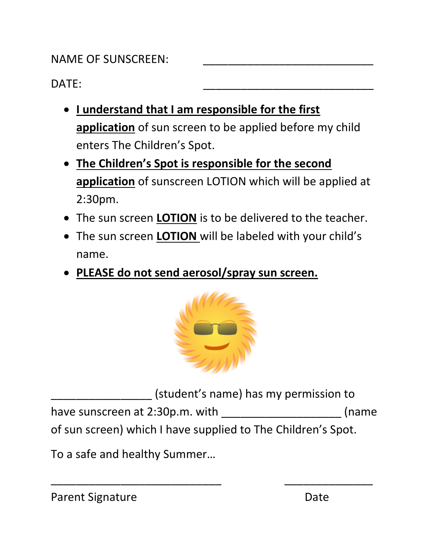## NAME OF SUNSCREEN:

## DATE: \_\_\_\_\_\_\_\_\_\_\_\_\_\_\_\_\_\_\_\_\_\_\_\_\_\_\_

- I understand that I am responsible for the first application of sun screen to be applied before my child enters The Children's Spot.
- The Children's Spot is responsible for the second application of sunscreen LOTION which will be applied at 2:30pm.
- The sun screen **LOTION** is to be delivered to the teacher.
- The sun screen **LOTION** will be labeled with your child's name.
- PLEASE do not send aerosol/spray sun screen.



(student's name) has my permission to have sunscreen at 2:30p.m. with \_\_\_\_\_\_\_\_\_\_\_\_\_\_\_\_\_\_\_\_\_\_\_\_(name of sun screen) which I have supplied to The Children's Spot.

\_\_\_\_\_\_\_\_\_\_\_\_\_\_\_\_\_\_\_\_\_\_\_\_\_\_\_ \_\_\_\_\_\_\_\_\_\_\_\_\_\_

To a safe and healthy Summer…

| Parent Signature | Date |
|------------------|------|
|------------------|------|